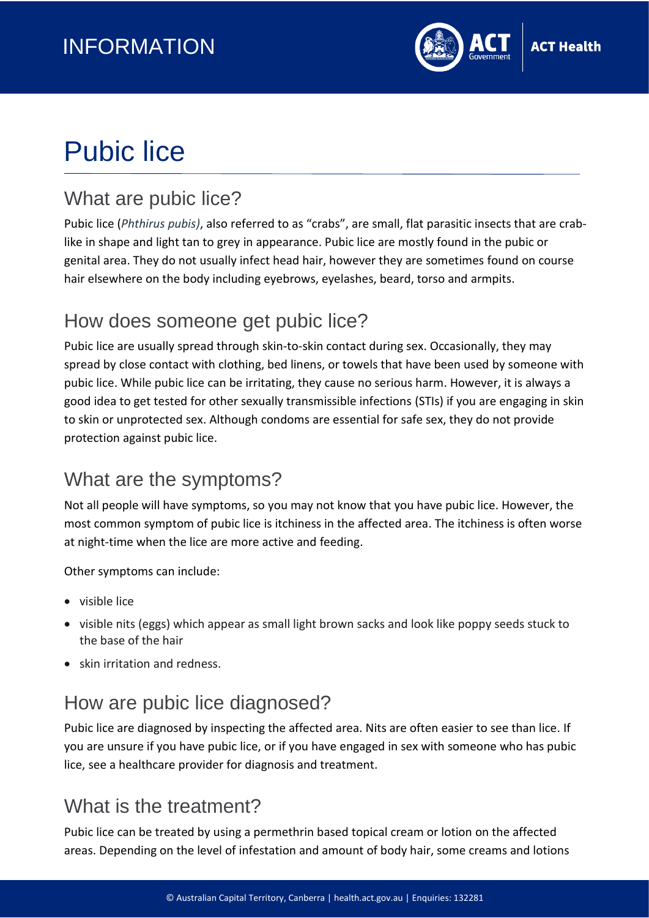

# Pubic lice

## What are pubic lice?

Pubic lice (*Phthirus pubis)*, also referred to as "crabs", are small, flat parasitic insects that are crablike in shape and light tan to grey in appearance. Pubic lice are mostly found in the pubic or genital area. They do not usually infect head hair, however they are sometimes found on course hair elsewhere on the body including eyebrows, eyelashes, beard, torso and armpits.

## How does someone get pubic lice?

Pubic lice are usually spread through skin-to-skin contact during sex. Occasionally, they may spread by close contact with clothing, bed linens, or towels that have been used by someone with pubic lice. While pubic lice can be irritating, they cause no serious harm. However, it is always a good idea to get tested for other sexually transmissible infections (STIs) if you are engaging in skin to skin or unprotected sex. Although condoms are essential for safe sex, they do not provide protection against pubic lice.

## What are the symptoms?

Not all people will have symptoms, so you may not know that you have pubic lice. However, the most common symptom of pubic lice is itchiness in the affected area. The itchiness is often worse at night-time when the lice are more active and feeding.

Other symptoms can include:

- visible lice
- visible nits (eggs) which appear as small light brown sacks and look like poppy seeds stuck to the base of the hair
- skin irritation and redness.

## How are pubic lice diagnosed?

Pubic lice are diagnosed by inspecting the affected area. Nits are often easier to see than lice. If you are unsure if you have pubic lice, or if you have engaged in sex with someone who has pubic lice, see a healthcare provider for diagnosis and treatment.

## What is the treatment?

Pubic lice can be treated by using a permethrin based topical cream or lotion on the affected areas. Depending on the level of infestation and amount of body hair, some creams and lotions